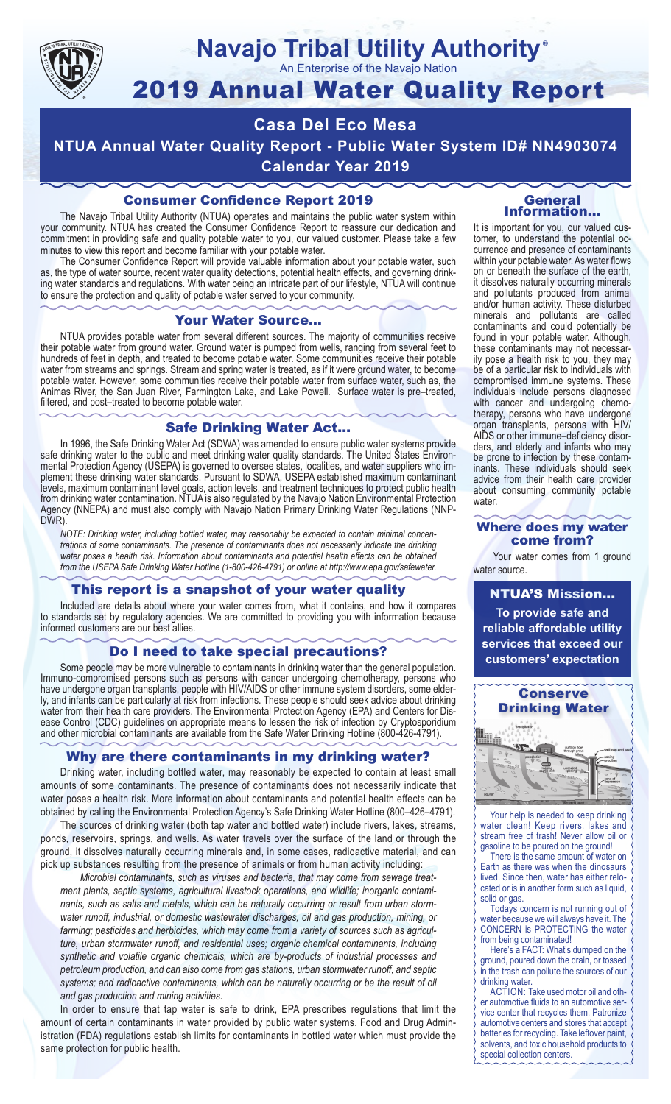

#### **Navajo Tribal Utility Authority** ®

An Enterprise of the Navajo Nation

# 2019 Annual Water Quality Report

## **Casa Del Eco Mesa NTUA Annual Water Quality Report - Public Water System ID# NN4903074 Calendar Year 2019**

## Consumer Confidence Report 2019

The Navajo Tribal Utility Authority (NTUA) operates and maintains the public water system within your community. NTUA has created the Consumer Confidence Report to reassure our dedication and commitment in providing safe and quality potable water to you, our valued customer. Please take a few minutes to view this report and become familiar with your potable water.

The Consumer Confidence Report will provide valuable information about your potable water, such as, the type of water source, recent water quality detections, potential health effects, and governing drinking water standards and regulations. With water being an intricate part of our lifestyle, NTUA will continue to ensure the protection and quality of potable water served to your community.

#### Your Water Source…

NTUA provides potable water from several different sources. The majority of communities receive their potable water from ground water. Ground water is pumped from wells, ranging from several feet to hundreds of feet in depth, and treated to become potable water. Some communities receive their potable water from streams and springs. Stream and spring water is treated, as if it were ground water, to become potable water. However, some communities receive their potable water from surface water, such as, the Animas River, the San Juan River, Farmington Lake, and Lake Powell. Surface water is pre–treated, filtered, and post–treated to become potable water.

#### Safe Drinking Water Act…

In 1996, the Safe Drinking Water Act (SDWA) was amended to ensure public water systems provide safe drinking water to the public and meet drinking water quality standards. The United States Environmental Protection Agency (USEPA) is governed to oversee states, localities, and water suppliers who implement these drinking water standards. Pursuant to SDWA, USEPA established maximum contaminant levels, maximum contaminant level goals, action levels, and treatment techniques to protect public health from drinking water contamination. NTUA is also regulated by the Navajo Nation Environmental Protection Agency (NNEPA) and must also comply with Navajo Nation Primary Drinking Water Regulations (NNP-DWR)

*NOTE: Drinking water, including bottled water, may reasonably be expected to contain minimal concentrations of some contaminants. The presence of contaminants does not necessarily indicate the drinking water poses a health risk. Information about contaminants and potential health effects can be obtained from the USEPA Safe Drinking Water Hotline (1-800-426-4791) or online at http://www.epa.gov/safewater.*

#### This report is a snapshot of your water quality

Included are details about where your water comes from, what it contains, and how it compares to standards set by regulatory agencies. We are committed to providing you with information because informed customers are our best allies.

#### Do I need to take special precautions?

Some people may be more vulnerable to contaminants in drinking water than the general population. Immuno-compromised persons such as persons with cancer undergoing chemotherapy, persons who have undergone organ transplants, people with HIV/AIDS or other immune system disorders, some elderly, and infants can be particularly at risk from infections. These people should seek advice about drinking water from their health care providers. The Environmental Protection Agency (EPA) and Centers for Disease Control (CDC) guidelines on appropriate means to lessen the risk of infection by Cryptosporidium and other microbial contaminants are available from the Safe Water Drinking Hotline (800-426-4791).

#### Why are there contaminants in my drinking water?

Drinking water, including bottled water, may reasonably be expected to contain at least small amounts of some contaminants. The presence of contaminants does not necessarily indicate that water poses a health risk. More information about contaminants and potential health effects can be obtained by calling the Environmental Protection Agency's Safe Drinking Water Hotline (800–426–4791).

The sources of drinking water (both tap water and bottled water) include rivers, lakes, streams, ponds, reservoirs, springs, and wells. As water travels over the surface of the land or through the ground, it dissolves naturally occurring minerals and, in some cases, radioactive material, and can pick up substances resulting from the presence of animals or from human activity including:

*Microbial contaminants, such as viruses and bacteria, that may come from sewage treatment plants, septic systems, agricultural livestock operations, and wildlife; inorganic contaminants, such as salts and metals, which can be naturally occurring or result from urban stormwater runoff, industrial, or domestic wastewater discharges, oil and gas production, mining, or farming; pesticides and herbicides, which may come from a variety of sources such as agriculture, urban stormwater runoff, and residential uses; organic chemical contaminants, including synthetic and volatile organic chemicals, which are by-products of industrial processes and petroleum production, and can also come from gas stations, urban stormwater runoff, and septic systems; and radioactive contaminants, which can be naturally occurring or be the result of oil and gas production and mining activities.*

In order to ensure that tap water is safe to drink, EPA prescribes regulations that limit the amount of certain contaminants in water provided by public water systems. Food and Drug Administration (FDA) regulations establish limits for contaminants in bottled water which must provide the same protection for public health.

#### General Information…

It is important for you, our valued customer, to understand the potential occurrence and presence of contaminants within your potable water. As water flows on or beneath the surface of the earth, it dissolves naturally occurring minerals and pollutants produced from animal and/or human activity. These disturbed minerals and pollutants are called contaminants and could potentially be found in your potable water. Although, these contaminants may not necessarily pose a health risk to you, they may be of a particular risk to individuals with compromised immune systems. These individuals include persons diagnosed with cancer and undergoing chemo-<br>therapy, persons who have undergone organ transplants, persons with HIV/ AIDS or other immune–deficiency disor- ders, and elderly and infants who may be prone to infection by these contam- inants. These individuals should seek advice from their health care provider about consuming community potable water.

#### Where does my water come from?

Your water comes from 1 ground water source.

NTUA'S Mission... **To provide safe and reliable affordable utility services that exceed our customers' expectation**



Your help is needed to keep drinking water clean! Keep rivers, lakes and stream free of trash! Never allow oil or gasoline to be poured on the ground!

There is the same amount of water on Earth as there was when the dinosaurs lived. Since then, water has either relocated or is in another form such as liquid, solid or gas.

Todays concern is not running out of water because we will always have it. The CONCERN is PROTECTING the water from being contaminated!

Here's a FACT: What's dumped on the ground, poured down the drain, or tossed in the trash can pollute the sources of our drinking water.

ACTION: Take used motor oil and other automotive fluids to an automotive service center that recycles them. Patronize automotive centers and stores that accept batteries for recycling. Take leftover paint, solvents, and toxic household products to special collection centers.